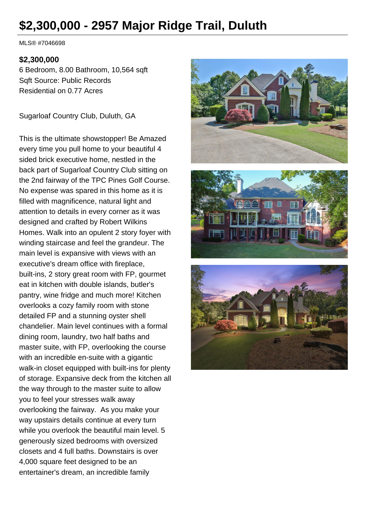# **\$2,300,000 - 2957 Major Ridge Trail, Duluth**

MLS® #7046698

#### **\$2,300,000**

6 Bedroom, 8.00 Bathroom, 10,564 sqft Sqft Source: Public Records Residential on 0.77 Acres

Sugarloaf Country Club, Duluth, GA

This is the ultimate showstopper! Be Amazed every time you pull home to your beautiful 4 sided brick executive home, nestled in the back part of Sugarloaf Country Club sitting on the 2nd fairway of the TPC Pines Golf Course. No expense was spared in this home as it is filled with magnificence, natural light and attention to details in every corner as it was designed and crafted by Robert Wilkins Homes. Walk into an opulent 2 story foyer with winding staircase and feel the grandeur. The main level is expansive with views with an executive's dream office with fireplace, built-ins, 2 story great room with FP, gourmet eat in kitchen with double islands, butler's pantry, wine fridge and much more! Kitchen overlooks a cozy family room with stone detailed FP and a stunning oyster shell chandelier. Main level continues with a formal dining room, laundry, two half baths and master suite, with FP, overlooking the course with an incredible en-suite with a gigantic walk-in closet equipped with built-ins for plenty of storage. Expansive deck from the kitchen all the way through to the master suite to allow you to feel your stresses walk away overlooking the fairway. As you make your way upstairs details continue at every turn while you overlook the beautiful main level. 5 generously sized bedrooms with oversized closets and 4 full baths. Downstairs is over 4,000 square feet designed to be an entertainer's dream, an incredible family





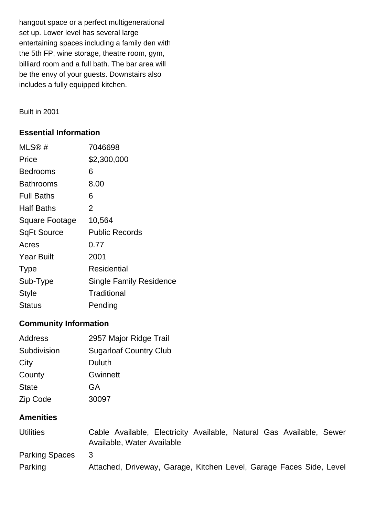hangout space or a perfect multigenerational set up. Lower level has several large entertaining spaces including a family den with the 5th FP, wine storage, theatre room, gym, billiard room and a full bath. The bar area will be the envy of your guests. Downstairs also includes a fully equipped kitchen.

Built in 2001

# **Essential Information**

| MLS@#              | 7046698                        |
|--------------------|--------------------------------|
| Price              | \$2,300,000                    |
| Bedrooms           | 6                              |
| <b>Bathrooms</b>   | 8.00                           |
| <b>Full Baths</b>  | 6                              |
| Half Baths         | 2                              |
| Square Footage     | 10,564                         |
| <b>SqFt Source</b> | <b>Public Records</b>          |
| Acres              | 0.77                           |
| <b>Year Built</b>  | 2001                           |
| <b>Type</b>        | Residential                    |
| Sub-Type           | <b>Single Family Residence</b> |
| <b>Style</b>       | Traditional                    |
| Status             | Pending                        |

# **Community Information**

| Address      | 2957 Major Ridge Trail        |
|--------------|-------------------------------|
| Subdivision  | <b>Sugarloaf Country Club</b> |
| City         | Duluth                        |
| County       | <b>Gwinnett</b>               |
| <b>State</b> | GA                            |
| Zip Code     | 30097                         |

# **Amenities**

| <b>Utilities</b>      | Cable Available, Electricity Available, Natural Gas Available, Sewer |
|-----------------------|----------------------------------------------------------------------|
|                       | Available, Water Available                                           |
| <b>Parking Spaces</b> | -3                                                                   |
| Parking               | Attached, Driveway, Garage, Kitchen Level, Garage Faces Side, Level  |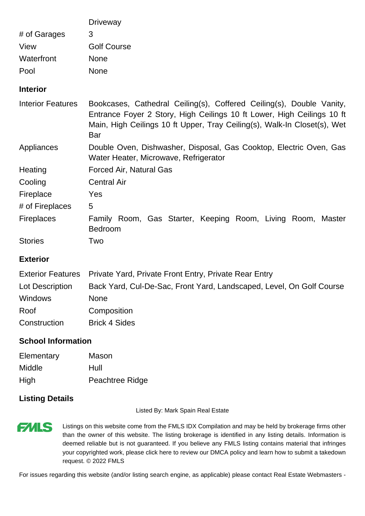|                           | <b>Driveway</b>                                                                                                                                                                                                                   |  |  |
|---------------------------|-----------------------------------------------------------------------------------------------------------------------------------------------------------------------------------------------------------------------------------|--|--|
| # of Garages              | 3                                                                                                                                                                                                                                 |  |  |
| View                      | <b>Golf Course</b>                                                                                                                                                                                                                |  |  |
| Waterfront                | <b>None</b>                                                                                                                                                                                                                       |  |  |
| Pool                      | <b>None</b>                                                                                                                                                                                                                       |  |  |
| <b>Interior</b>           |                                                                                                                                                                                                                                   |  |  |
| <b>Interior Features</b>  | Bookcases, Cathedral Ceiling(s), Coffered Ceiling(s), Double Vanity,<br>Entrance Foyer 2 Story, High Ceilings 10 ft Lower, High Ceilings 10 ft<br>Main, High Ceilings 10 ft Upper, Tray Ceiling(s), Walk-In Closet(s), Wet<br>Bar |  |  |
| Appliances                | Double Oven, Dishwasher, Disposal, Gas Cooktop, Electric Oven, Gas<br>Water Heater, Microwave, Refrigerator                                                                                                                       |  |  |
| Heating                   | Forced Air, Natural Gas                                                                                                                                                                                                           |  |  |
| Cooling                   | <b>Central Air</b>                                                                                                                                                                                                                |  |  |
| Fireplace                 | Yes                                                                                                                                                                                                                               |  |  |
| # of Fireplaces           | 5                                                                                                                                                                                                                                 |  |  |
| <b>Fireplaces</b>         | Family Room, Gas Starter, Keeping Room, Living Room, Master<br><b>Bedroom</b>                                                                                                                                                     |  |  |
| <b>Stories</b>            | Two                                                                                                                                                                                                                               |  |  |
| <b>Exterior</b>           |                                                                                                                                                                                                                                   |  |  |
| <b>Exterior Features</b>  | Private Yard, Private Front Entry, Private Rear Entry                                                                                                                                                                             |  |  |
| Lot Description           | Back Yard, Cul-De-Sac, Front Yard, Landscaped, Level, On Golf Course                                                                                                                                                              |  |  |
| Windows                   | <b>None</b>                                                                                                                                                                                                                       |  |  |
| Roof                      | Composition                                                                                                                                                                                                                       |  |  |
| Construction              | <b>Brick 4 Sides</b>                                                                                                                                                                                                              |  |  |
| <b>School Information</b> |                                                                                                                                                                                                                                   |  |  |
| Flementary Mason          |                                                                                                                                                                                                                                   |  |  |

| Elementary | Mason           |
|------------|-----------------|
| Middle     | Hull            |
| High       | Peachtree Ridge |

# **Listing Details**

**FMLS** 

Listed By: Mark Spain Real Estate

Listings on this website come from the FMLS IDX Compilation and may be held by brokerage firms other than the owner of this website. The listing brokerage is identified in any listing details. Information is deemed reliable but is not guaranteed. If you believe any FMLS listing contains material that infringes your copyrighted work, please click here to review our DMCA policy and learn how to submit a takedown request. © 2022 FMLS

For issues regarding this website (and/or listing search engine, as applicable) please contact Real Estate Webmasters -